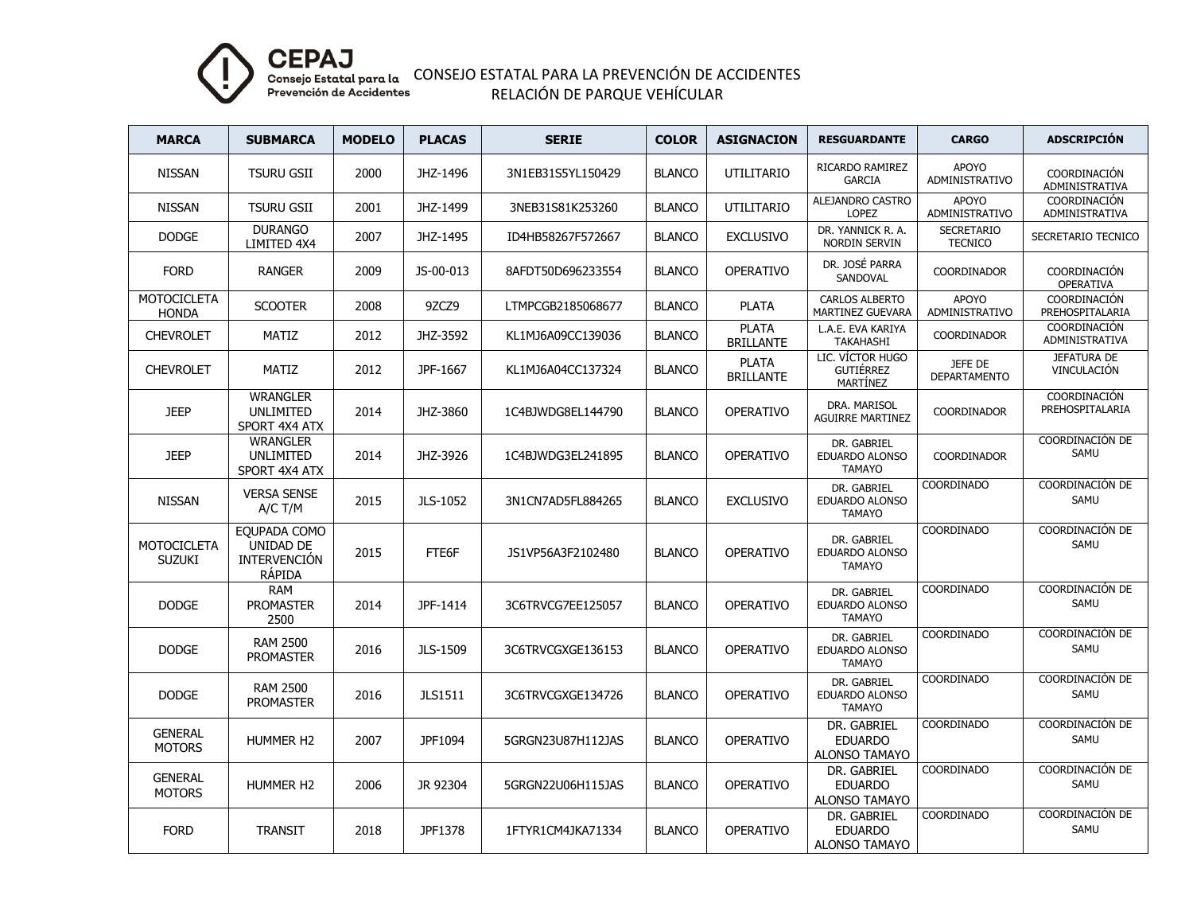

CONSEJO ESTATAL PARA LA PREVENCIÓN DE ACCIDENTES RELACIÓN DE PARQUE VEHÍCULAR

| <b>MARCA</b>                        | <b>SUBMARCA</b>                                                   | <b>MODELO</b> | <b>PLACAS</b>  | <b>SERIE</b>      | <b>COLOR</b>  | <b>ASIGNACION</b>                | <b>RESGUARDANTE</b>                                     | <b>CARGO</b>                        | <b>ADSCRIPCIÓN</b>                |
|-------------------------------------|-------------------------------------------------------------------|---------------|----------------|-------------------|---------------|----------------------------------|---------------------------------------------------------|-------------------------------------|-----------------------------------|
| <b>NISSAN</b>                       | <b>TSURU GSII</b>                                                 | 2000          | JHZ-1496       | 3N1EB31S5YL150429 | <b>BLANCO</b> | UTILITARIO                       | RICARDO RAMIREZ<br><b>GARCIA</b>                        | APOYO<br>ADMINISTRATIVO             | COORDINACIÓN<br>ADMINISTRATIVA    |
| <b>NISSAN</b>                       | <b>TSURU GSII</b>                                                 | 2001          | JHZ-1499       | 3NEB31S81K253260  | <b>BLANCO</b> | <b>UTILITARIO</b>                | ALEJANDRO CASTRO<br><b>LOPEZ</b>                        | <b>APOYO</b><br>ADMINISTRATIVO      | COORDINACIÓN<br>ADMINISTRATIVA    |
| <b>DODGE</b>                        | <b>DURANGO</b><br>LIMITED 4X4                                     | 2007          | JHZ-1495       | ID4HB58267F572667 | <b>BLANCO</b> | <b>EXCLUSIVO</b>                 | DR. YANNICK R. A.<br>NORDIN SERVIN                      | <b>SECRETARIO</b><br><b>TECNICO</b> | SECRETARIO TECNICO                |
| <b>FORD</b>                         | <b>RANGER</b>                                                     | 2009          | JS-00-013      | 8AFDT50D696233554 | <b>BLANCO</b> | OPERATIVO                        | DR. JOSÉ PARRA<br>SANDOVAL                              | <b>COORDINADOR</b>                  | COORDINACIÓN<br><b>OPERATIVA</b>  |
| <b>MOTOCICLETA</b><br><b>HONDA</b>  | <b>SCOOTER</b>                                                    | 2008          | 9ZCZ9          | LTMPCGB2185068677 | <b>BLANCO</b> | <b>PLATA</b>                     | <b>CARLOS ALBERTO</b><br><b>MARTINEZ GUEVARA</b>        | APOYO<br>ADMINISTRATIVO             | COORDINACIÓN<br>PREHOSPITALARIA   |
| <b>CHEVROLET</b>                    | <b>MATIZ</b>                                                      | 2012          | JHZ-3592       | KL1MJ6A09CC139036 | <b>BLANCO</b> | <b>PLATA</b><br><b>BRILLANTE</b> | L.A.E. EVA KARIYA<br><b>TAKAHASHI</b>                   | <b>COORDINADOR</b>                  | COORDINACIÓN<br>ADMINISTRATIVA    |
| <b>CHEVROLET</b>                    | MATIZ                                                             | 2012          | JPF-1667       | KL1MJ6A04CC137324 | <b>BLANCO</b> | <b>PLATA</b><br><b>BRILLANTE</b> | LIC. VÍCTOR HUGO<br><b>GUTIÉRREZ</b><br><b>MARTÍNEZ</b> | JEFE DE<br><b>DEPARTAMENTO</b>      | <b>JEFATURA DE</b><br>VINCULACIÓN |
| <b>JEEP</b>                         | <b>WRANGLER</b><br>UNLIMITED<br>SPORT 4X4 ATX                     | 2014          | JHZ-3860       | 1C4BJWDG8EL144790 | <b>BLANCO</b> | <b>OPERATIVO</b>                 | DRA. MARISOL<br><b>AGUIRRE MARTINEZ</b>                 | COORDINADOR                         | COORDINACIÓN<br>PREHOSPITALARIA   |
| <b>JEEP</b>                         | <b>WRANGLER</b><br>UNLIMITED<br>SPORT 4X4 ATX                     | 2014          | JHZ-3926       | 1C4BJWDG3EL241895 | <b>BLANCO</b> | <b>OPERATIVO</b>                 | DR. GABRIEL<br><b>EDUARDO ALONSO</b><br><b>TAMAYO</b>   | <b>COORDINADOR</b>                  | COORDINACIÓN DE<br>SAMU           |
| <b>NISSAN</b>                       | <b>VERSA SENSE</b><br>$A/C$ T/M                                   | 2015          | JLS-1052       | 3N1CN7AD5FL884265 | <b>BLANCO</b> | <b>EXCLUSIVO</b>                 | DR. GABRIEL<br>EDUARDO ALONSO<br><b>TAMAYO</b>          | COORDINADO                          | COORDINACIÓN DE<br>SAMU           |
| <b>MOTOCICLETA</b><br><b>SUZUKI</b> | EQUPADA COMO<br>UNIDAD DE<br><b>INTERVENCIÓN</b><br><b>RÁPIDA</b> | 2015          | FTE6F          | JS1VP56A3F2102480 | <b>BLANCO</b> | <b>OPERATIVO</b>                 | DR. GABRIEL<br>EDUARDO ALONSO<br><b>TAMAYO</b>          | COORDINADO                          | COORDINACIÓN DE<br>SAMU           |
| <b>DODGE</b>                        | <b>RAM</b><br><b>PROMASTER</b><br>2500                            | 2014          | JPF-1414       | 3C6TRVCG7EE125057 | <b>BLANCO</b> | <b>OPERATIVO</b>                 | DR. GABRIEL<br>EDUARDO ALONSO<br><b>TAMAYO</b>          | COORDINADO                          | COORDINACIÓN DE<br>SAMU           |
| <b>DODGE</b>                        | <b>RAM 2500</b><br><b>PROMASTER</b>                               | 2016          | JLS-1509       | 3C6TRVCGXGE136153 | <b>BLANCO</b> | <b>OPERATIVO</b>                 | DR. GABRIEL<br>EDUARDO ALONSO<br><b>TAMAYO</b>          | <b>COORDINADO</b>                   | COORDINACIÓN DE<br>SAMU           |
| <b>DODGE</b>                        | <b>RAM 2500</b><br><b>PROMASTER</b>                               | 2016          | <b>JLS1511</b> | 3C6TRVCGXGE134726 | <b>BLANCO</b> | <b>OPERATIVO</b>                 | DR. GABRIEL<br>EDUARDO ALONSO<br><b>TAMAYO</b>          | COORDINADO                          | COORDINACIÓN DE<br>SAMU           |
| <b>GENERAL</b><br><b>MOTORS</b>     | <b>HUMMER H2</b>                                                  | 2007          | JPF1094        | 5GRGN23U87H112JAS | <b>BLANCO</b> | <b>OPERATIVO</b>                 | DR. GABRIEL<br><b>EDUARDO</b><br><b>ALONSO TAMAYO</b>   | COORDINADO                          | COORDINACIÓN DE<br>SAMU           |
| <b>GENERAL</b><br><b>MOTORS</b>     | <b>HUMMER H2</b>                                                  | 2006          | JR 92304       | 5GRGN22U06H115JAS | <b>BLANCO</b> | <b>OPERATIVO</b>                 | DR. GABRIEL<br><b>EDUARDO</b><br><b>ALONSO TAMAYO</b>   | COORDINADO                          | COORDINACIÓN DE<br>SAMU           |
| <b>FORD</b>                         | <b>TRANSIT</b>                                                    | 2018          | JPF1378        | 1FTYR1CM4JKA71334 | <b>BLANCO</b> | <b>OPERATIVO</b>                 | DR. GABRIEL<br><b>EDUARDO</b><br><b>ALONSO TAMAYO</b>   | <b>COORDINADO</b>                   | COORDINACIÓN DE<br>SAMU           |